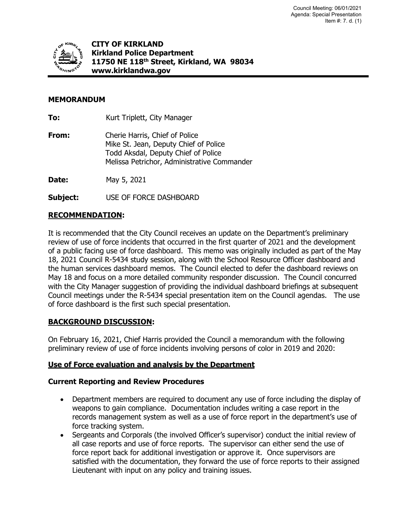

**CITY OF KIRKLAND Kirkland Police Department 11750 NE 118th Street, Kirkland, WA 98034 www.kirklandwa.gov**

## **MEMORANDUM**

**To:** Kurt Triplett, City Manager

**From:** Cherie Harris, Chief of Police Mike St. Jean, Deputy Chief of Police Todd Aksdal, Deputy Chief of Police Melissa Petrichor, Administrative Commander

**Date:** May 5, 2021

**Subject:** USE OF FORCE DASHBOARD

## **RECOMMENDATION:**

It is recommended that the City Council receives an update on the Department's preliminary review of use of force incidents that occurred in the first quarter of 2021 and the development of a public facing use of force dashboard. This memo was originally included as part of the May 18, 2021 Council R-5434 study session, along with the School Resource Officer dashboard and the human services dashboard memos. The Council elected to defer the dashboard reviews on May 18 and focus on a more detailed community responder discussion. The Council concurred with the City Manager suggestion of providing the individual dashboard briefings at subsequent Council meetings under the R-5434 special presentation item on the Council agendas. The use of force dashboard is the first such special presentation.

#### **BACKGROUND DISCUSSION:**

On February 16, 2021, Chief Harris provided the Council a memorandum with the following preliminary review of use of force incidents involving persons of color in 2019 and 2020:

#### **Use of Force evaluation and analysis by the Department**

#### **Current Reporting and Review Procedures**

- Department members are required to document any use of force including the display of weapons to gain compliance. Documentation includes writing a case report in the records management system as well as a use of force report in the department's use of force tracking system.
- Sergeants and Corporals (the involved Officer's supervisor) conduct the initial review of all case reports and use of force reports. The supervisor can either send the use of force report back for additional investigation or approve it. Once supervisors are satisfied with the documentation, they forward the use of force reports to their assigned Lieutenant with input on any policy and training issues.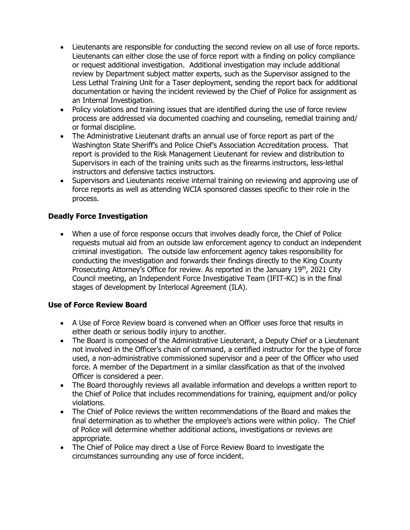- Lieutenants are responsible for conducting the second review on all use of force reports. Lieutenants can either close the use of force report with a finding on policy compliance or request additional investigation. Additional investigation may include additional review by Department subject matter experts, such as the Supervisor assigned to the Less Lethal Training Unit for a Taser deployment, sending the report back for additional documentation or having the incident reviewed by the Chief of Police for assignment as an Internal Investigation.
- Policy violations and training issues that are identified during the use of force review process are addressed via documented coaching and counseling, remedial training and/ or formal discipline.
- The Administrative Lieutenant drafts an annual use of force report as part of the Washington State Sheriff's and Police Chief's Association Accreditation process. That report is provided to the Risk Management Lieutenant for review and distribution to Supervisors in each of the training units such as the firearms instructors, less-lethal instructors and defensive tactics instructors.
- Supervisors and Lieutenants receive internal training on reviewing and approving use of force reports as well as attending WCIA sponsored classes specific to their role in the process.

# **Deadly Force Investigation**

• When a use of force response occurs that involves deadly force, the Chief of Police requests mutual aid from an outside law enforcement agency to conduct an independent criminal investigation. The outside law enforcement agency takes responsibility for conducting the investigation and forwards their findings directly to the King County Prosecuting Attorney's Office for review. As reported in the January 19<sup>th</sup>, 2021 City Council meeting, an Independent Force Investigative Team (IFIT-KC) is in the final stages of development by Interlocal Agreement (ILA).

## **Use of Force Review Board**

- A Use of Force Review board is convened when an Officer uses force that results in either death or serious bodily injury to another.
- The Board is composed of the Administrative Lieutenant, a Deputy Chief or a Lieutenant not involved in the Officer's chain of command, a certified instructor for the type of force used, a non-administrative commissioned supervisor and a peer of the Officer who used force. A member of the Department in a similar classification as that of the involved Officer is considered a peer.
- The Board thoroughly reviews all available information and develops a written report to the Chief of Police that includes recommendations for training, equipment and/or policy violations.
- The Chief of Police reviews the written recommendations of the Board and makes the final determination as to whether the employee's actions were within policy. The Chief of Police will determine whether additional actions, investigations or reviews are appropriate.
- The Chief of Police may direct a Use of Force Review Board to investigate the circumstances surrounding any use of force incident.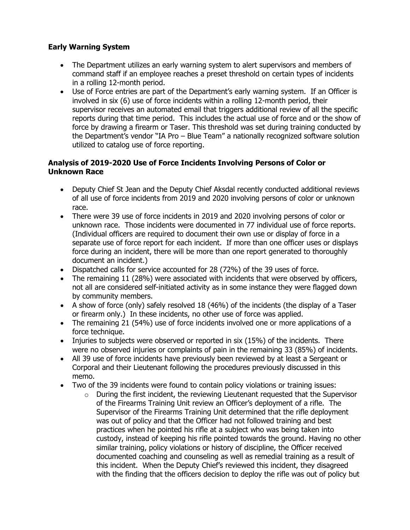## **Early Warning System**

- The Department utilizes an early warning system to alert supervisors and members of command staff if an employee reaches a preset threshold on certain types of incidents in a rolling 12-month period.
- Use of Force entries are part of the Department's early warning system. If an Officer is involved in six (6) use of force incidents within a rolling 12-month period, their supervisor receives an automated email that triggers additional review of all the specific reports during that time period. This includes the actual use of force and or the show of force by drawing a firearm or Taser. This threshold was set during training conducted by the Department's vendor "IA Pro – Blue Team" a nationally recognized software solution utilized to catalog use of force reporting.

### **Analysis of 2019-2020 Use of Force Incidents Involving Persons of Color or Unknown Race**

- Deputy Chief St Jean and the Deputy Chief Aksdal recently conducted additional reviews of all use of force incidents from 2019 and 2020 involving persons of color or unknown race.
- There were 39 use of force incidents in 2019 and 2020 involving persons of color or unknown race. Those incidents were documented in 77 individual use of force reports. (Individual officers are required to document their own use or display of force in a separate use of force report for each incident. If more than one officer uses or displays force during an incident, there will be more than one report generated to thoroughly document an incident.)
- Dispatched calls for service accounted for 28 (72%) of the 39 uses of force.
- The remaining 11 (28%) were associated with incidents that were observed by officers, not all are considered self-initiated activity as in some instance they were flagged down by community members.
- A show of force (only) safely resolved 18 (46%) of the incidents (the display of a Taser or firearm only.) In these incidents, no other use of force was applied.
- The remaining 21 (54%) use of force incidents involved one or more applications of a force technique.
- Injuries to subjects were observed or reported in six (15%) of the incidents. There were no observed injuries or complaints of pain in the remaining 33 (85%) of incidents.
- All 39 use of force incidents have previously been reviewed by at least a Sergeant or Corporal and their Lieutenant following the procedures previously discussed in this memo.
- Two of the 39 incidents were found to contain policy violations or training issues:
	- o During the first incident, the reviewing Lieutenant requested that the Supervisor of the Firearms Training Unit review an Officer's deployment of a rifle. The Supervisor of the Firearms Training Unit determined that the rifle deployment was out of policy and that the Officer had not followed training and best practices when he pointed his rifle at a subject who was being taken into custody, instead of keeping his rifle pointed towards the ground. Having no other similar training, policy violations or history of discipline, the Officer received documented coaching and counseling as well as remedial training as a result of this incident. When the Deputy Chief's reviewed this incident, they disagreed with the finding that the officers decision to deploy the rifle was out of policy but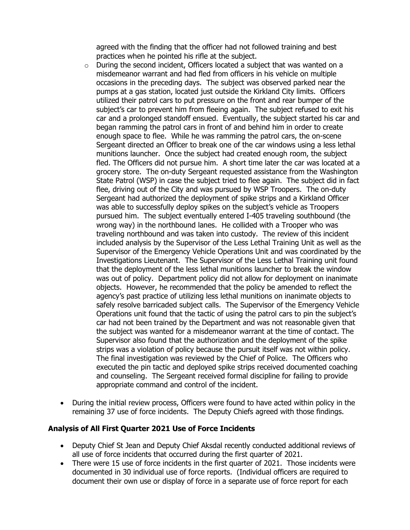agreed with the finding that the officer had not followed training and best practices when he pointed his rifle at the subject.

- $\circ$  During the second incident, Officers located a subject that was wanted on a misdemeanor warrant and had fled from officers in his vehicle on multiple occasions in the preceding days. The subject was observed parked near the pumps at a gas station, located just outside the Kirkland City limits. Officers utilized their patrol cars to put pressure on the front and rear bumper of the subject's car to prevent him from fleeing again. The subject refused to exit his car and a prolonged standoff ensued. Eventually, the subject started his car and began ramming the patrol cars in front of and behind him in order to create enough space to flee. While he was ramming the patrol cars, the on-scene Sergeant directed an Officer to break one of the car windows using a less lethal munitions launcher. Once the subject had created enough room, the subject fled. The Officers did not pursue him. A short time later the car was located at a grocery store. The on-duty Sergeant requested assistance from the Washington State Patrol (WSP) in case the subject tried to flee again. The subject did in fact flee, driving out of the City and was pursued by WSP Troopers. The on-duty Sergeant had authorized the deployment of spike strips and a Kirkland Officer was able to successfully deploy spikes on the subject's vehicle as Troopers pursued him. The subject eventually entered I-405 traveling southbound (the wrong way) in the northbound lanes. He collided with a Trooper who was traveling northbound and was taken into custody. The review of this incident included analysis by the Supervisor of the Less Lethal Training Unit as well as the Supervisor of the Emergency Vehicle Operations Unit and was coordinated by the Investigations Lieutenant. The Supervisor of the Less Lethal Training unit found that the deployment of the less lethal munitions launcher to break the window was out of policy. Department policy did not allow for deployment on inanimate objects. However, he recommended that the policy be amended to reflect the agency's past practice of utilizing less lethal munitions on inanimate objects to safely resolve barricaded subject calls. The Supervisor of the Emergency Vehicle Operations unit found that the tactic of using the patrol cars to pin the subject's car had not been trained by the Department and was not reasonable given that the subject was wanted for a misdemeanor warrant at the time of contact. The Supervisor also found that the authorization and the deployment of the spike strips was a violation of policy because the pursuit itself was not within policy. The final investigation was reviewed by the Chief of Police. The Officers who executed the pin tactic and deployed spike strips received documented coaching and counseling. The Sergeant received formal discipline for failing to provide appropriate command and control of the incident.
- During the initial review process, Officers were found to have acted within policy in the remaining 37 use of force incidents. The Deputy Chiefs agreed with those findings.

#### **Analysis of All First Quarter 2021 Use of Force Incidents**

- Deputy Chief St Jean and Deputy Chief Aksdal recently conducted additional reviews of all use of force incidents that occurred during the first quarter of 2021.
- There were 15 use of force incidents in the first quarter of 2021. Those incidents were documented in 30 individual use of force reports. (Individual officers are required to document their own use or display of force in a separate use of force report for each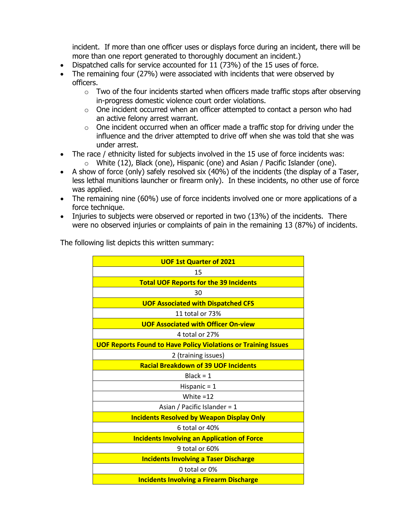incident. If more than one officer uses or displays force during an incident, there will be more than one report generated to thoroughly document an incident.)

- Dispatched calls for service accounted for 11 (73%) of the 15 uses of force.
- The remaining four (27%) were associated with incidents that were observed by officers.
	- $\circ$  Two of the four incidents started when officers made traffic stops after observing in-progress domestic violence court order violations.
	- $\circ$  One incident occurred when an officer attempted to contact a person who had an active felony arrest warrant.
	- $\circ$  One incident occurred when an officer made a traffic stop for driving under the influence and the driver attempted to drive off when she was told that she was under arrest.
- The race / ethnicity listed for subjects involved in the 15 use of force incidents was: o White (12), Black (one), Hispanic (one) and Asian / Pacific Islander (one).
- A show of force (only) safely resolved six (40%) of the incidents (the display of a Taser, less lethal munitions launcher or firearm only). In these incidents, no other use of force was applied.
- The remaining nine (60%) use of force incidents involved one or more applications of a force technique.
- Injuries to subjects were observed or reported in two (13%) of the incidents. There were no observed injuries or complaints of pain in the remaining 13 (87%) of incidents.

The following list depicts this written summary:

| <b>UOF 1st Quarter of 2021</b>                                        |
|-----------------------------------------------------------------------|
| 15                                                                    |
| <b>Total UOF Reports for the 39 Incidents</b>                         |
| 30                                                                    |
| <b>UOF Associated with Dispatched CFS</b>                             |
| 11 total or 73%                                                       |
| <b>UOF Associated with Officer On-view</b>                            |
| 4 total or 27%                                                        |
| <b>UOF Reports Found to Have Policy Violations or Training Issues</b> |
| 2 (training issues)                                                   |
| <b>Racial Breakdown of 39 UOF Incidents</b>                           |
| $Black = 1$                                                           |
| Hispanic $= 1$                                                        |
| White $=12$                                                           |
| Asian / Pacific Islander = 1                                          |
| <b>Incidents Resolved by Weapon Display Only</b>                      |
| 6 total or 40%                                                        |
| <b>Incidents Involving an Application of Force</b>                    |
| 9 total or 60%                                                        |
| <b>Incidents Involving a Taser Discharge</b>                          |
| 0 total or 0%                                                         |
| <b>Incidents Involving a Firearm Discharge</b>                        |